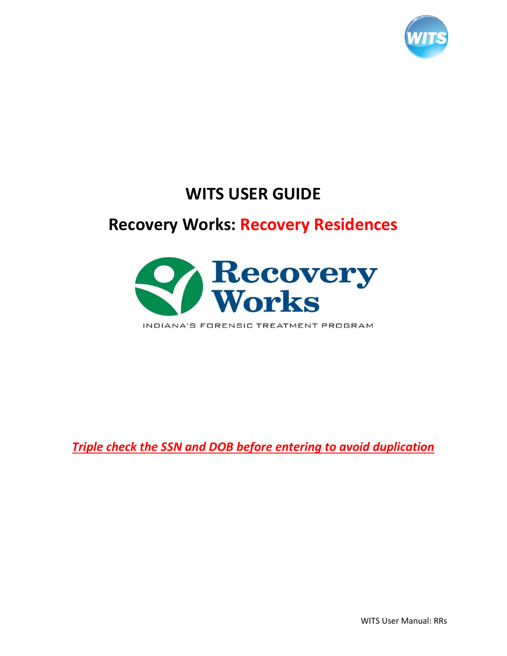

# **WITS USER GUIDE**

# **Recovery Works: Recovery Residences**



INDIANA'S FORENSIC TREATMENT PROGRAM

*Triple check the SSN and DOB before entering to avoid duplication* 

WITS User Manual: RRs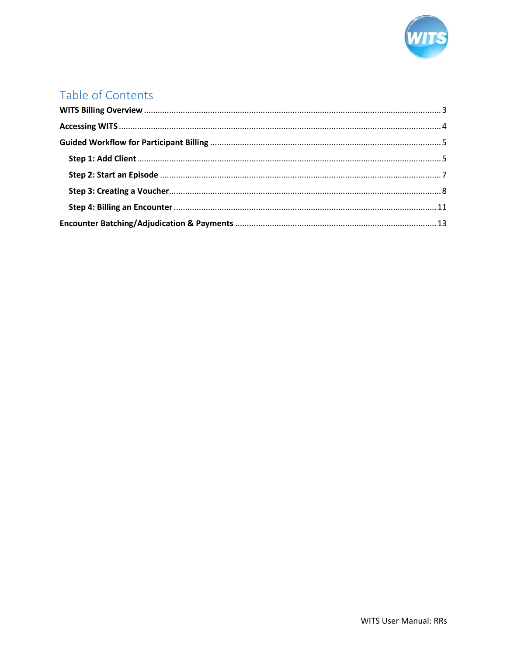

## Table of Contents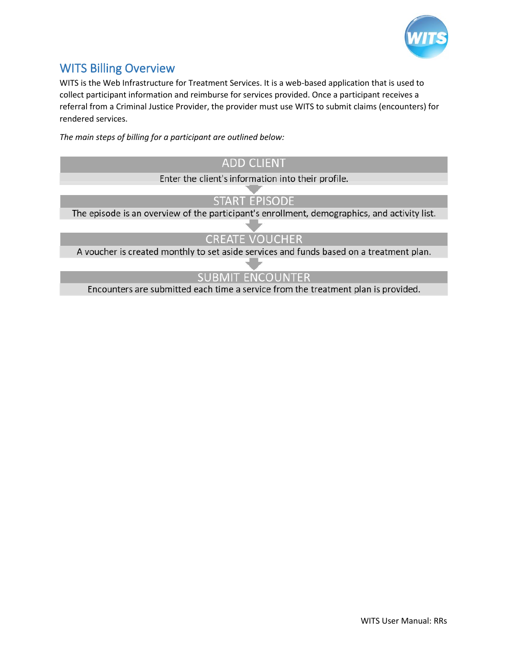

## <span id="page-2-0"></span>WITS Billing Overview

WITS is the Web Infrastructure for Treatment Services. It is a web-based application that is used to collect participant information and reimburse for services provided. Once a participant receives a referral from a Criminal Justice Provider, the provider must use WITS to submit claims (encounters) for rendered services.

*The main steps of billing for a participant are outlined below:*

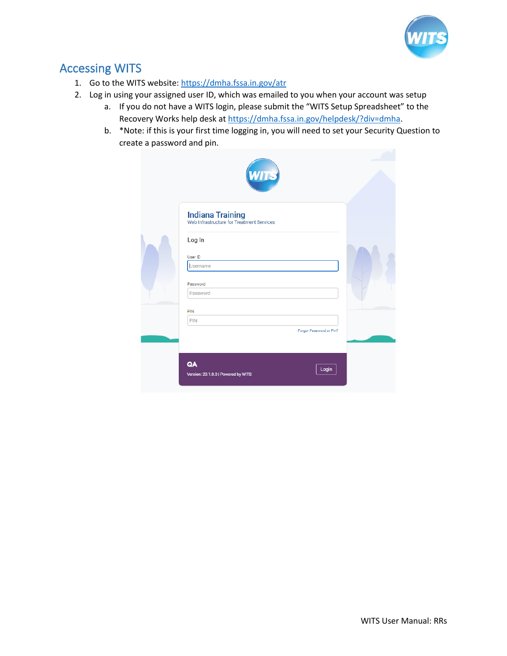

## <span id="page-3-0"></span>Accessing WITS

- 1. Go to the WITS website[: https://dmha.fssa.in.gov/atr](https://dmha.fssa.in.gov/atr)
- 2. Log in using your assigned user ID, which was emailed to you when your account was setup
	- a. If you do not have a WITS login, please submit the "WITS Setup Spreadsheet" to the Recovery Works help desk a[t https://dmha.fssa.in.gov/helpdesk/?div=dmha.](https://dmha.fssa.in.gov/helpdesk/?div=dmha)
	- b. \*Note: if this is your first time logging in, you will need to set your Security Question to create a password and pin.

| WITS                                                                 |  |
|----------------------------------------------------------------------|--|
| <b>Indiana Training</b><br>Web Infrastructure for Treatment Services |  |
| Log In                                                               |  |
| User ID<br>Username                                                  |  |
| Password<br>Password                                                 |  |
| PIN<br>PIN                                                           |  |
| Forgot Password or Pin?                                              |  |
| QA<br>Login<br>Version: 20.1.0.0   Powered by WITS                   |  |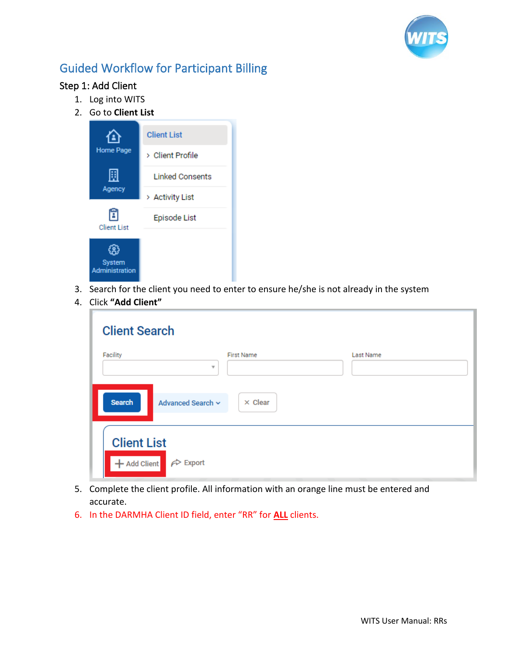

## <span id="page-4-0"></span>Guided Workflow for Participant Billing

### <span id="page-4-1"></span>Step 1: Add Client

- 1. Log into WITS
- 2. Go to **Client List**



- 3. Search for the client you need to enter to ensure he/she is not already in the system
- 4. Click **"Add Client"**

| <b>Client Search</b>                                           |                                              |           |
|----------------------------------------------------------------|----------------------------------------------|-----------|
| Facility                                                       | <b>First Name</b><br>$\overline{\mathbf{v}}$ | Last Name |
| <b>Search</b><br>Advanced Search ~                             | $\times$ Clear                               |           |
| <b>Client List</b><br>+ Add Client<br>$\leftrightarrow$ Export |                                              |           |

- 5. Complete the client profile. All information with an orange line must be entered and accurate.
- 6. In the DARMHA Client ID field, enter "RR" for **ALL** clients.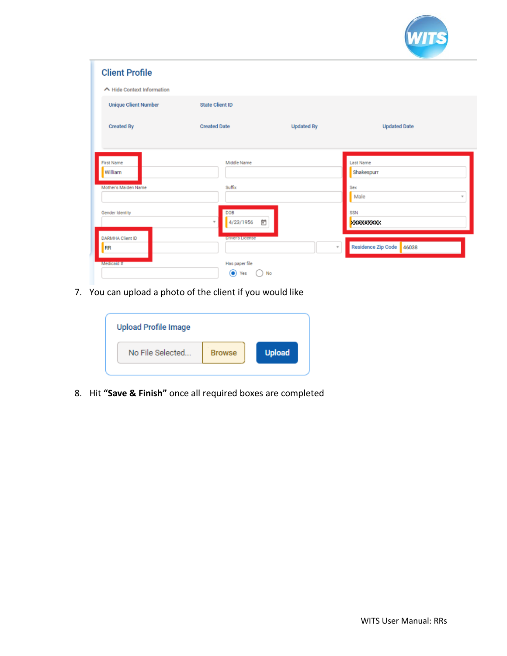

| <b>Client Profile</b>                                |                                                                     |                     |                                                                   |
|------------------------------------------------------|---------------------------------------------------------------------|---------------------|-------------------------------------------------------------------|
| ← Hide Context Information                           |                                                                     |                     |                                                                   |
| <b>Unique Client Number</b>                          | <b>State Client ID</b>                                              |                     |                                                                   |
| <b>Created By</b>                                    | <b>Created Date</b>                                                 | <b>Updated By</b>   | <b>Updated Date</b>                                               |
| <b>First Name</b><br>William<br>Mother's Maiden Name | Middle Name<br>Suffix                                               |                     | Last Name<br>Shakespurr<br>Sex<br>Male<br>$\overline{\mathbf{v}}$ |
| Gender Identity<br>DARMHA Client ID                  | DOB<br>Ë<br>4/23/1956<br>$\tau$                                     |                     | <b>SSN</b><br><b>XXXXXXXXX</b>                                    |
| <b>RR</b><br>Medicaid #                              | <b>Driver's License</b><br>Has paper file<br>$\bullet$<br>No<br>Yes | $\scriptstyle\rm w$ | Residence Zip Code 46038                                          |

7. You can upload a photo of the client if you would like

| <b>Upload Profile Image</b> |               |               |
|-----------------------------|---------------|---------------|
| No File Selected            | <b>Browse</b> | <b>Upload</b> |
|                             |               |               |

8. Hit **"Save & Finish"** once all required boxes are completed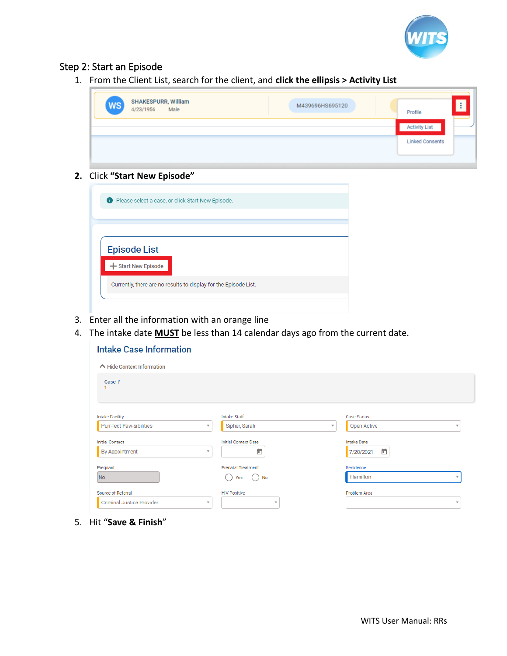

#### <span id="page-6-0"></span>Step 2: Start an Episode

1. From the Client List, search for the client, and **click the ellipsis > Activity List**

| <b>Activity List</b><br><b>Linked Consents</b> | <b>SHAKESPURR, William</b><br>[WS]<br>M439696HS695120<br>Male<br>4/23/1956 | Profile |  |
|------------------------------------------------|----------------------------------------------------------------------------|---------|--|
|                                                |                                                                            |         |  |
|                                                |                                                                            |         |  |

#### **2.** Click **"Start New Episode"**

| <b>D</b> Please select a case, or click Start New Episode.       |
|------------------------------------------------------------------|
|                                                                  |
|                                                                  |
|                                                                  |
|                                                                  |
| <b>Episode List</b>                                              |
|                                                                  |
| + Start New Episode                                              |
|                                                                  |
| Currently, there are no results to display for the Episode List. |
|                                                                  |
|                                                                  |
|                                                                  |

- 3. Enter all the information with an orange line
- 4. The intake date **MUST** be less than 14 calendar days ago from the current date.

| <b>Intake Case Information</b>   |                          |                             |              |                    |                         |
|----------------------------------|--------------------------|-----------------------------|--------------|--------------------|-------------------------|
| ← Hide Context Information       |                          |                             |              |                    |                         |
| Case #                           |                          |                             |              |                    |                         |
| <b>Intake Facility</b>           |                          | Intake Staff                |              | <b>Case Status</b> |                         |
| <b>Purr-fect Paw-sibilities</b>  | $\mathbf{v}$             | Sipher, Sarah               | $\mathbf{v}$ | <b>Open Active</b> | $\mathbf w$             |
| <b>Initial Contact</b>           |                          | <b>Initial Contact Date</b> |              | <b>Intake Date</b> |                         |
| <b>By Appointment</b>            | $\overline{\phantom{a}}$ | ö                           |              | ö<br>7/20/2021     |                         |
| Pregnant                         |                          | <b>Prenatal Treatment</b>   |              | Residence          |                         |
| N <sub>o</sub>                   |                          | Yes<br>No                   |              | Hamilton           |                         |
| Source of Referral               |                          | <b>HIV Positive</b>         |              | Problem Area       |                         |
| <b>Criminal Justice Provider</b> | $\overline{\phantom{a}}$ | $\overline{\phantom{a}}$    |              |                    | $\overline{\mathbf{v}}$ |

5. Hit "**Save & Finish**"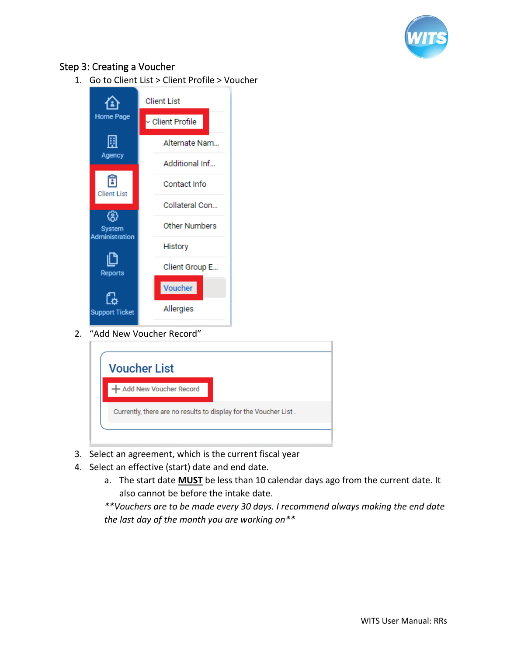

#### <span id="page-7-0"></span>Step 3: Creating a Voucher

1. Go to Client List > Client Profile > Voucher



2. "Add New Voucher Record"

| <b>Voucher List</b>                                              |  |  |
|------------------------------------------------------------------|--|--|
| + Add New Voucher Record                                         |  |  |
| Currently, there are no results to display for the Voucher List. |  |  |

- 3. Select an agreement, which is the current fiscal year
- 4. Select an effective (start) date and end date.
	- a. The start date **MUST** be less than 10 calendar days ago from the current date. It also cannot be before the intake date.

*\*\*Vouchers are to be made every 30 days. I recommend always making the end date the last day of the month you are working on\*\**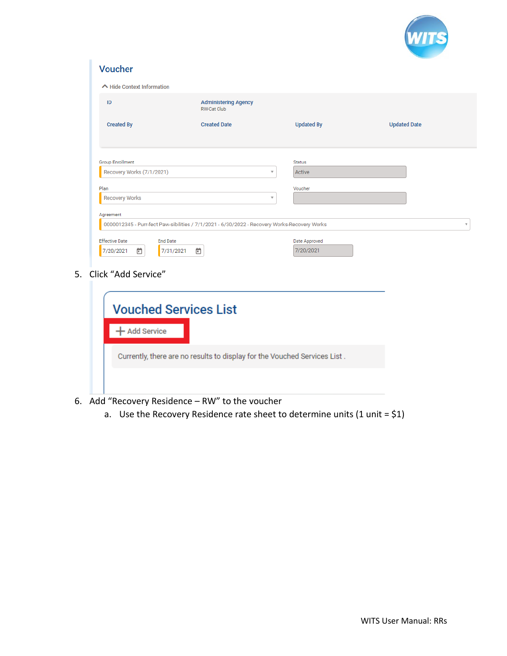

| ID                                                                                                                                 | <b>Administering Agency</b><br><b>RW-Cat Club</b> |                            |                     |
|------------------------------------------------------------------------------------------------------------------------------------|---------------------------------------------------|----------------------------|---------------------|
| <b>Created By</b>                                                                                                                  | <b>Created Date</b>                               | <b>Updated By</b>          | <b>Updated Date</b> |
| <b>Group Enrollment</b>                                                                                                            |                                                   | <b>Status</b>              |                     |
| Recovery Works (7/1/2021)                                                                                                          | v                                                 | Active                     |                     |
| Plan                                                                                                                               |                                                   | Voucher                    |                     |
| <b>Recovery Works</b>                                                                                                              | $\overline{\mathbf{v}}$                           |                            |                     |
|                                                                                                                                    |                                                   |                            |                     |
|                                                                                                                                    |                                                   |                            |                     |
| <b>End Date</b><br>ö<br>7/20/2021<br>7/31/2021                                                                                     | $\Box$                                            | Date Approved<br>7/20/2021 |                     |
| Agreement<br>0000012345 - Purr-fect Paw-sibilities / 7/1/2021 - 6/30/2022 - Recovery Works-Recovery Works<br><b>Effective Date</b> |                                                   |                            |                     |

| <b>Vouched Services List</b> |                                                                           |
|------------------------------|---------------------------------------------------------------------------|
| <b>Add Service</b>           |                                                                           |
|                              | Currently, there are no results to display for the Vouched Services List. |
|                              |                                                                           |

- 6. Add "Recovery Residence RW" to the voucher
	- a. Use the Recovery Residence rate sheet to determine units  $(1 \text{ unit} = $1)$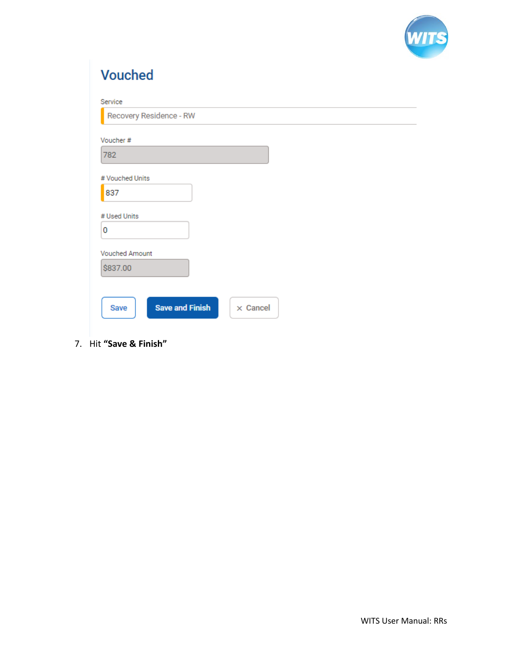

÷.

|  |  | <b>Vouched</b> |  |
|--|--|----------------|--|
|  |  |                |  |

| Service                        |                 |
|--------------------------------|-----------------|
| Recovery Residence - RW        |                 |
|                                |                 |
| Voucher#                       |                 |
| 782                            |                 |
|                                |                 |
| # Vouched Units                |                 |
| 837                            |                 |
|                                |                 |
| # Used Units                   |                 |
|                                |                 |
| 0                              |                 |
|                                |                 |
| <b>Vouched Amount</b>          |                 |
| \$837.00                       |                 |
|                                |                 |
|                                |                 |
|                                |                 |
| <b>Save and Finish</b><br>Save | $\times$ Cancel |
|                                |                 |
|                                |                 |

7. Hit "Save & Finish"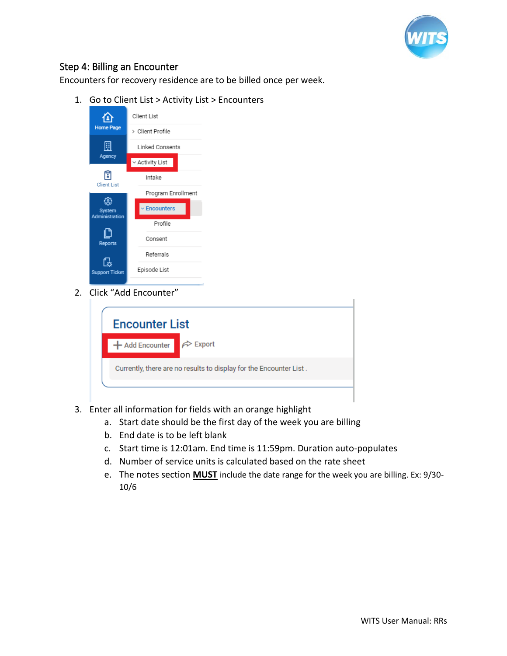

#### <span id="page-10-0"></span>Step 4: Billing an Encounter

Encounters for recovery residence are to be billed once per week.

1. Go to Client List > Activity List > Encounters



2. Click "Add Encounter"

| <b>Encounter List</b>                                              |                           |  |  |  |
|--------------------------------------------------------------------|---------------------------|--|--|--|
| + Add Encounter                                                    | $\curvearrowright$ Export |  |  |  |
| Currently, there are no results to display for the Encounter List. |                           |  |  |  |
|                                                                    |                           |  |  |  |

- 3. Enter all information for fields with an orange highlight
	- a. Start date should be the first day of the week you are billing
	- b. End date is to be left blank
	- c. Start time is 12:01am. End time is 11:59pm. Duration auto-populates
	- d. Number of service units is calculated based on the rate sheet
	- e. The notes section **MUST** include the date range for the week you are billing. Ex: 9/30- 10/6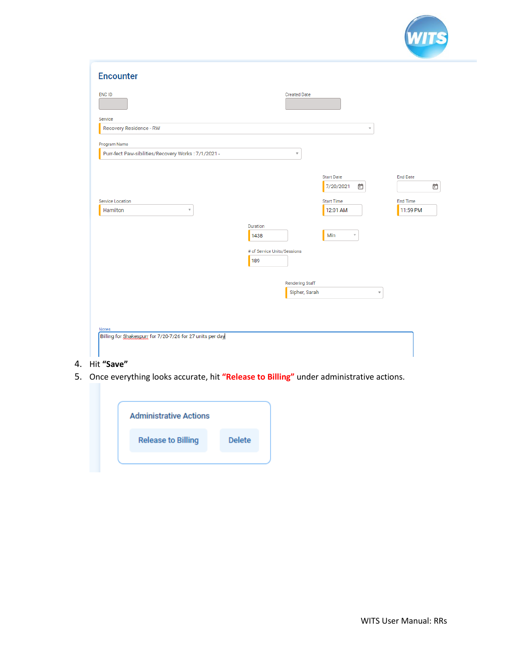

| <b>Encounter</b>                                                    |                                         |                                     |                             |
|---------------------------------------------------------------------|-----------------------------------------|-------------------------------------|-----------------------------|
| <b>ENC ID</b>                                                       | <b>Created Date</b>                     |                                     |                             |
| Service<br>Recovery Residence - RW                                  |                                         | $\overline{\phantom{a}}$            |                             |
| Program Name<br>Purr-fect Paw-sibilities/Recovery Works: 7/1/2021 - | v                                       |                                     |                             |
|                                                                     |                                         | <b>Start Date</b><br>7/20/2021<br>卣 | <b>End Date</b><br>ö        |
| Service Location<br>Hamilton<br>$\overline{\mathbf{v}}$             |                                         | <b>Start Time</b><br>12:01 AM       | <b>End Time</b><br>11:59 PM |
|                                                                     | Duration<br>1438                        | Min<br>v                            |                             |
|                                                                     | # of Service Units/Sessions<br>189      |                                     |                             |
|                                                                     | <b>Rendering Staff</b><br>Sipher, Sarah | $\mathbf{v}$                        |                             |
|                                                                     |                                         |                                     |                             |
| Notes<br>Billing for Shakespurr for 7/20-7/26 for 27 units per day  |                                         |                                     |                             |
|                                                                     |                                         |                                     |                             |

#### 4. Hit **"Save"**

5. Once everything looks accurate, hit **"Release to Billing"** under administrative actions.